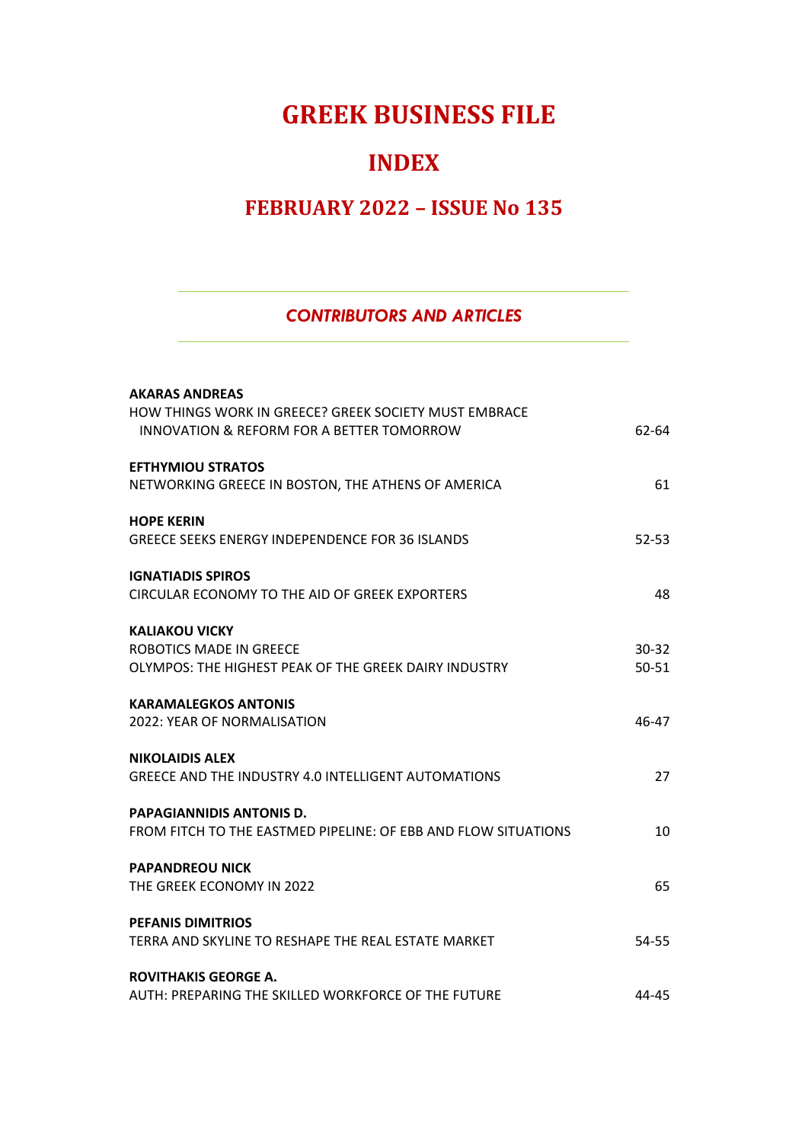# **GREEK BUSINESS FILE**

## **INDEX**

## **FEBRUARY 2022 – ISSUE No 135**

#### *CONTRIBUTORS AND ARTICLES*

| <b>AKARAS ANDREAS</b><br>HOW THINGS WORK IN GREECE? GREEK SOCIETY MUST EMBRACE<br>INNOVATION & REFORM FOR A BETTER TOMORROW | 62-64                  |
|-----------------------------------------------------------------------------------------------------------------------------|------------------------|
| <b>EFTHYMIOU STRATOS</b><br>NETWORKING GREECE IN BOSTON, THE ATHENS OF AMERICA                                              | 61                     |
| <b>HOPE KERIN</b><br>GREECE SEEKS ENERGY INDEPENDENCE FOR 36 ISLANDS                                                        | $52 - 53$              |
| <b>IGNATIADIS SPIROS</b><br>CIRCULAR ECONOMY TO THE AID OF GREEK EXPORTERS                                                  | 48                     |
| <b>KALIAKOU VICKY</b><br><b>ROBOTICS MADE IN GREECE</b><br>OLYMPOS: THE HIGHEST PEAK OF THE GREEK DAIRY INDUSTRY            | $30 - 32$<br>$50 - 51$ |
| <b>KARAMALEGKOS ANTONIS</b><br>2022: YEAR OF NORMALISATION                                                                  | 46-47                  |
| <b>NIKOLAIDIS ALEX</b><br>GREECE AND THE INDUSTRY 4.0 INTELLIGENT AUTOMATIONS                                               | 27                     |
| <b>PAPAGIANNIDIS ANTONIS D.</b><br>FROM FITCH TO THE EASTMED PIPELINE: OF EBB AND FLOW SITUATIONS                           | 10                     |
| <b>PAPANDREOU NICK</b><br>THE GREEK ECONOMY IN 2022                                                                         | 65                     |
| <b>PEFANIS DIMITRIOS</b><br>TERRA AND SKYLINE TO RESHAPE THE REAL ESTATE MARKET                                             | 54-55                  |
| <b>ROVITHAKIS GEORGE A.</b><br>AUTH: PREPARING THE SKILLED WORKFORCE OF THE FUTURE                                          | 44-45                  |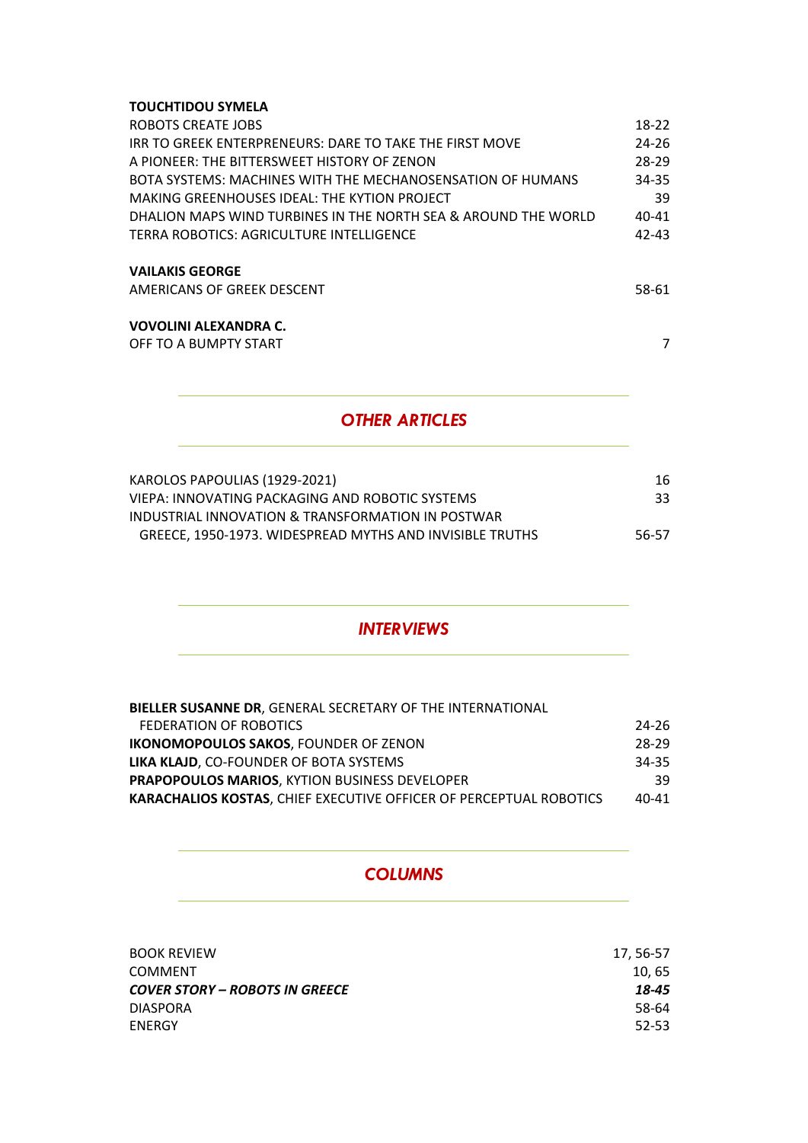#### **TOUCHTIDOU SYMELA**

| ROBOTS CREATE JOBS                                             | 18-22     |
|----------------------------------------------------------------|-----------|
| IRR TO GREEK ENTERPRENEURS: DARE TO TAKE THE FIRST MOVE        | 24-26     |
| A PIONEER: THE BITTERSWEET HISTORY OF ZENON                    | 28-29     |
| BOTA SYSTEMS: MACHINES WITH THE MECHANOSENSATION OF HUMANS     | 34-35     |
| MAKING GREENHOUSES IDEAL: THE KYTION PROJECT                   | 39        |
| DHALION MAPS WIND TURBINES IN THE NORTH SEA & AROUND THE WORLD | $40 - 41$ |
| TERRA ROBOTICS: AGRICULTURE INTELLIGENCE                       | 42-43     |
| <b>VAILAKIS GEORGE</b>                                         |           |
| AMERICANS OF GREEK DESCENT                                     | 58-61     |

#### **VOVOLINI ALEXANDRA C.**

OFF TO A BUMPTY START THE START TO A BUMPTY START THE START THAT A START THE START THAT A START THAT A START THAT A START THAT A START THAT A START THAT A START THAT A START THAT A START THAT A START THAT A START THAT A ST

### *OTHER ARTICLES*

| KAROLOS PAPOULIAS (1929-2021)                            | 16.   |
|----------------------------------------------------------|-------|
| VIEPA: INNOVATING PACKAGING AND ROBOTIC SYSTEMS          | 33.   |
| INDUSTRIAL INNOVATION & TRANSFORMATION IN POSTWAR        |       |
| GREECE, 1950-1973. WIDESPREAD MYTHS AND INVISIBLE TRUTHS | 56-57 |
|                                                          |       |

#### *INTERVIEWS*

| <b>BIELLER SUSANNE DR. GENERAL SECRETARY OF THE INTERNATIONAL</b>         |           |
|---------------------------------------------------------------------------|-----------|
| FEDERATION OF ROBOTICS                                                    | 24-26     |
| <b>IKONOMOPOULOS SAKOS. FOUNDER OF ZENON</b>                              | 28-29     |
| <b>LIKA KLAJD.</b> CO-FOUNDER OF BOTA SYSTEMS                             | 34-35     |
| <b>PRAPOPOULOS MARIOS, KYTION BUSINESS DEVELOPER</b>                      | 39        |
| <b>KARACHALIOS KOSTAS, CHIEF EXECUTIVE OFFICER OF PERCEPTUAL ROBOTICS</b> | $40 - 41$ |

#### *COLUMNS*

| <b>BOOK REVIEW</b>                    | 17.56-57 |
|---------------------------------------|----------|
| <b>COMMENT</b>                        | 10, 65   |
| <b>COVER STORY - ROBOTS IN GREECE</b> | 18-45    |
| <b>DIASPORA</b>                       | 58-64    |
| ENERGY                                | 52-53    |
|                                       |          |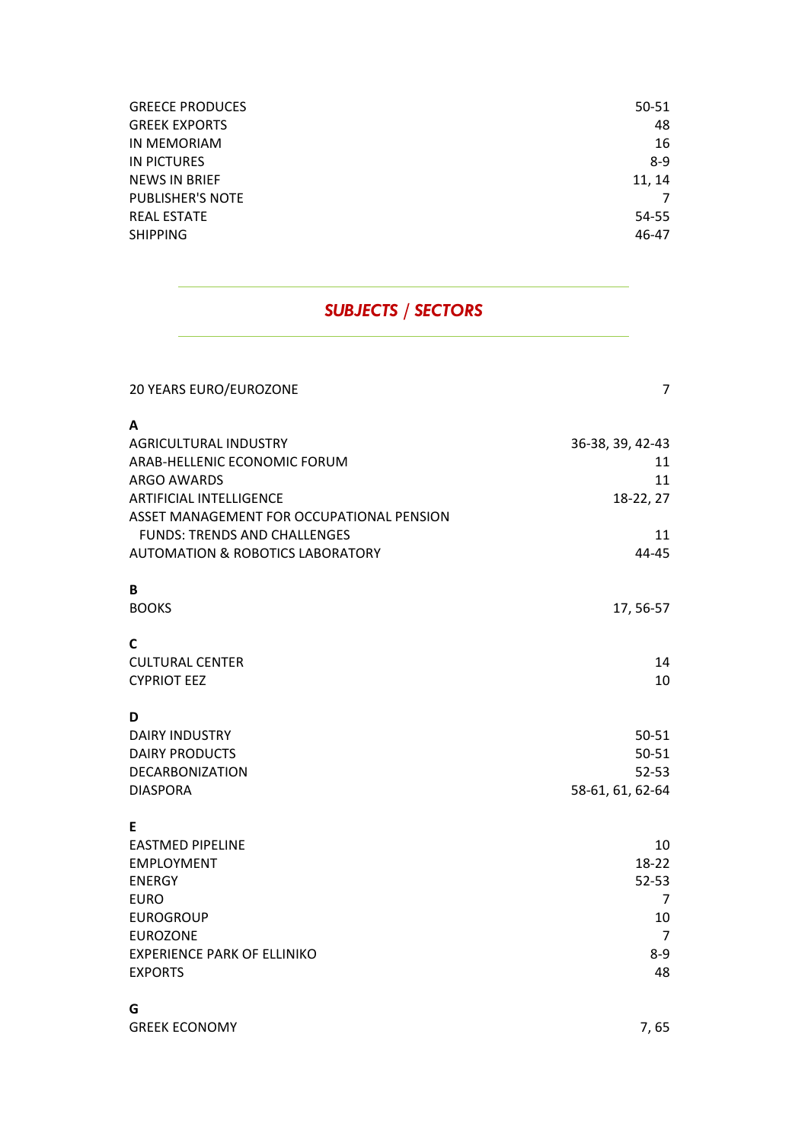| <b>GREECE PRODUCES</b>  | 50-51  |
|-------------------------|--------|
| <b>GREEK EXPORTS</b>    | 48     |
| IN MEMORIAM             | 16     |
| <b>IN PICTURES</b>      | $8-9$  |
| <b>NEWS IN BRIEF</b>    | 11, 14 |
| <b>PUBLISHER'S NOTE</b> |        |
| <b>REAL ESTATE</b>      | 54-55  |
| <b>SHIPPING</b>         | 46-47  |
|                         |        |

### *SUBJECTS / SECTORS*

| 20 YEARS EURO/EUROZONE                      | $\overline{7}$   |
|---------------------------------------------|------------------|
| A                                           |                  |
| AGRICULTURAL INDUSTRY                       | 36-38, 39, 42-43 |
| ARAB-HELLENIC ECONOMIC FORUM                | 11               |
| ARGO AWARDS                                 | 11               |
| ARTIFICIAL INTELLIGENCE                     | 18-22, 27        |
| ASSET MANAGEMENT FOR OCCUPATIONAL PENSION   |                  |
| <b>FUNDS: TRENDS AND CHALLENGES</b>         | 11               |
| <b>AUTOMATION &amp; ROBOTICS LABORATORY</b> | 44-45            |
| В                                           |                  |
| <b>BOOKS</b>                                | 17, 56-57        |
| C                                           |                  |
| <b>CULTURAL CENTER</b>                      | 14               |
| <b>CYPRIOT EEZ</b>                          | 10               |
| D                                           |                  |
| <b>DAIRY INDUSTRY</b>                       | $50 - 51$        |
| <b>DAIRY PRODUCTS</b>                       | $50 - 51$        |
| DECARBONIZATION                             | $52 - 53$        |
| <b>DIASPORA</b>                             | 58-61, 61, 62-64 |
| E                                           |                  |
| <b>EASTMED PIPELINE</b>                     | 10               |
| <b>EMPLOYMENT</b>                           | 18-22            |
| <b>ENERGY</b>                               | $52 - 53$        |
| <b>EURO</b>                                 | 7                |
| <b>EUROGROUP</b>                            | 10               |
| <b>EUROZONE</b>                             | 7                |
| <b>EXPERIENCE PARK OF ELLINIKO</b>          | 8-9<br>48        |
| <b>EXPORTS</b>                              |                  |
| G                                           |                  |
| <b>GREEK ECONOMY</b>                        | 7,65             |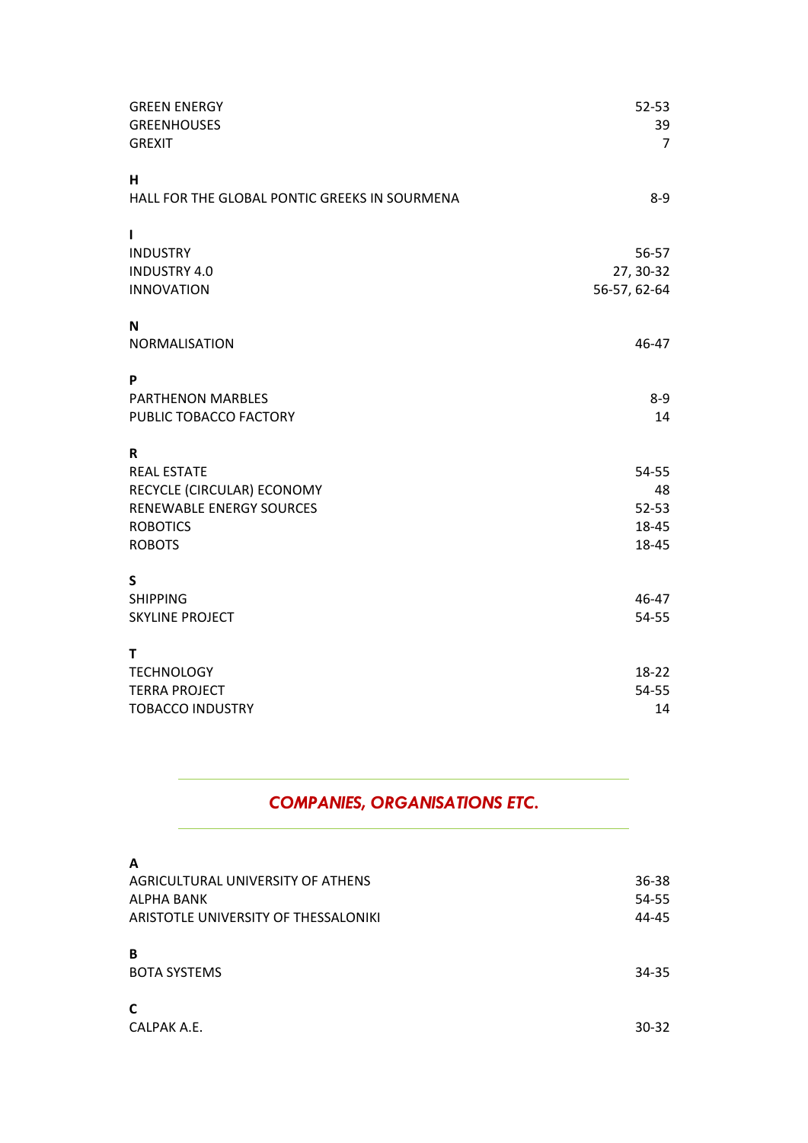| <b>GREEN ENERGY</b><br><b>GREENHOUSES</b><br><b>GREXIT</b> | $52 - 53$<br>39<br>$\overline{7}$ |
|------------------------------------------------------------|-----------------------------------|
| H<br>HALL FOR THE GLOBAL PONTIC GREEKS IN SOURMENA         | $8 - 9$                           |
| I.                                                         |                                   |
| <b>INDUSTRY</b>                                            | 56-57                             |
| <b>INDUSTRY 4.0</b>                                        | 27, 30-32                         |
| <b>INNOVATION</b>                                          | 56-57, 62-64                      |
| N                                                          |                                   |
| NORMALISATION                                              | 46-47                             |
| P                                                          |                                   |
| PARTHENON MARBLES                                          | $8 - 9$                           |
| PUBLIC TOBACCO FACTORY                                     | 14                                |
| $\mathbf R$                                                |                                   |
| <b>REAL ESTATE</b>                                         | 54-55                             |
| RECYCLE (CIRCULAR) ECONOMY                                 | 48                                |
| <b>RENEWABLE ENERGY SOURCES</b>                            | $52 - 53$                         |
| <b>ROBOTICS</b>                                            | 18-45                             |
| <b>ROBOTS</b>                                              | 18-45                             |
| S                                                          |                                   |
| <b>SHIPPING</b>                                            | 46-47                             |
| <b>SKYLINE PROJECT</b>                                     | 54-55                             |
| т                                                          |                                   |
| <b>TECHNOLOGY</b>                                          | 18-22                             |
| <b>TERRA PROJECT</b>                                       | 54-55                             |
| <b>TOBACCO INDUSTRY</b>                                    | 14                                |

### *COMPANIES, ORGANISATIONS ETC.*

| A                                    |       |
|--------------------------------------|-------|
| AGRICULTURAL UNIVERSITY OF ATHENS    | 36-38 |
| ALPHA BANK                           | 54-55 |
| ARISTOTLE UNIVERSITY OF THESSALONIKI | 44-45 |
| B<br><b>BOTA SYSTEMS</b>             | 34-35 |
| C<br>CALPAK A.E.                     | 30-32 |